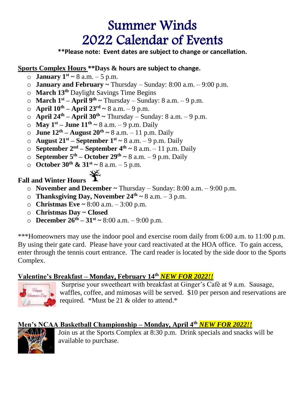# Summer Winds 2022 Calendar of Events

**\*\*Please note: Event dates are subject to change or cancellation.**

#### **Sports Complex Hours \*\*Days & hours are subject to change.**

- **b January**  $1^{st} \sim 8$  a.m.  $-5$  p.m.
- o **January and February ~** Thursday Sunday: 8:00 a.m. 9:00 p.m.
- o **March 13 th** Daylight Savings Time Begins
- $\circ$  **March 1**<sup>st</sup> **April 9<sup>th</sup> ~** Thursday Sunday: 8 a.m. 9 p.m.
- $\circ$  **April 10<sup>th</sup> April 23<sup>rd</sup> ~** 8 a.m. 9 p.m.
- o **April 24th – April 30 th ~** Thursday Sunday: 8 a.m. 9 p.m.
- o **May 1st – June 11 th ~** 8 a.m. 9 p.m. Daily
- o **June 12 th – August 20th ~** 8 a.m. 11 p.m. Daily
- o **August 21st – September 1 st ~** 8 a.m. 9 p.m. Daily
- o **September 2 nd – September 4 th ~** 8 a.m. 11 p.m. Daily
- o **September 5 th – October 29th ~** 8 a.m. 9 p.m. Daily
- o **October 30th & 31st ~** 8 a.m. 5 p.m.

# **Fall and Winter Hours**

- o **November and December ~** Thursday Sunday: 8:00 a.m. 9:00 p.m.
- **O Thanksgiving Day, November**  $24^{\text{th}} \sim 8$  **a.m.**  $-3$  **p.m.**
- o **Christmas Eve ~** 8:00 a.m. 3:00 p.m.
- o **Christmas Day ~ Closed**
- o **December 26th – 31st ~** 8:00 a.m. 9:00 p.m.

\*\*\*Homeowners may use the indoor pool and exercise room daily from 6:00 a.m. to 11:00 p.m. By using their gate card. Please have your card reactivated at the HOA office. To gain access, enter through the tennis court entrance. The card reader is located by the side door to the Sports Complex.

# **Valentine's Breakfast – Monday, February 14th** *NEW FOR 2022!!*



Surprise your sweetheart with breakfast at Ginger's Café at 9 a.m. Sausage, waffles, coffee, and mimosas will be served. \$10 per person and reservations are required. \*Must be 21 & older to attend.\*

# **Men's NCAA Basketball Championship – Monday, April 4th** *NEW FOR 2022!!*



Join us at the Sports Complex at 8:30 p.m. Drink specials and snacks will be available to purchase.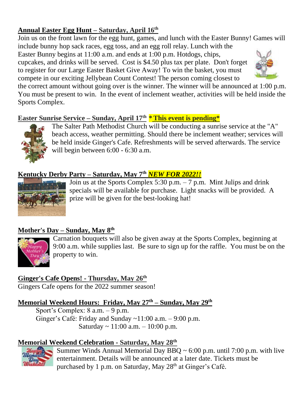# **Annual Easter Egg Hunt – Saturday, April 16th**

Join us on the front lawn for the egg hunt, games, and lunch with the Easter Bunny! Games will include bunny hop sack races, egg toss, and an egg roll relay. Lunch with the

Easter Bunny begins at 11:00 a.m. and ends at 1:00 p.m. Hotdogs, chips, cupcakes, and drinks will be served. Cost is \$4.50 plus tax per plate. Don't forget to register for our Large Easter Basket Give Away! To win the basket, you must compete in our exciting Jellybean Count Contest! The person coming closest to



the correct amount without going over is the winner. The winner will be announced at 1:00 p.m. You must be present to win. In the event of inclement weather, activities will be held inside the Sports Complex.

# **Easter Sunrise Service – Sunday, April 17th \*This event is pending\***



The Salter Path Methodist Church will be conducting a sunrise service at the "A" beach access, weather permitting. Should there be inclement weather; services will be held inside Ginger's Cafe. Refreshments will be served afterwards. The service will begin between 6:00 - 6:30 a.m.

# **Kentucky Derby Party – Saturday, May 7th** *NEW FOR 2022!!*



Join us at the Sports Complex 5:30 p.m. – 7 p.m. Mint Julips and drink specials will be available for purchase. Light snacks will be provided. A prize will be given for the best-looking hat!

# **Mother's Day – Sunday, May 8 th**



Carnation bouquets will also be given away at the Sports Complex, beginning at 9:00 a.m. while supplies last. Be sure to sign up for the raffle. You must be on the property to win.

# **Ginger's Cafe Opens! - Thursday, May 26 th**

Gingers Cafe opens for the 2022 summer season!

#### **Memorial Weekend Hours: Friday, May 27 th – Sunday, May 29th**

Sport's Complex: 8 a.m. – 9 p.m. Ginger's Café: Friday and Sunday ~11:00 a.m. – 9:00 p.m. Saturday  $\sim 11:00$  a.m.  $-10:00$  p.m.

# **Memorial Weekend Celebration - Saturday, May 28 th**



Summer Winds Annual Memorial Day BBQ  $\sim 6:00$  p.m. until 7:00 p.m. with live entertainment. Details will be announced at a later date. Tickets must be purchased by 1 p.m. on Saturday, May 28<sup>th</sup> at Ginger's Café.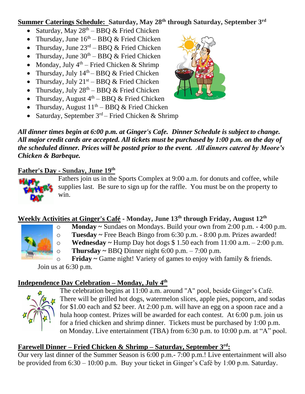#### **Summer Caterings Schedule: Saturday, May 28 th through Saturday, September 3 rd**

- Saturday, May  $28^{th}$  BBQ & Fried Chicken
- Thursday, June  $16<sup>th</sup> B B Q \&$  Fried Chicken
- Thursday, June  $23^{\text{rd}} \text{BBQ}$  & Fried Chicken
- Thursday, June  $30<sup>th</sup> BBO & Fried Chicken$
- Monday, July  $4<sup>th</sup>$  Fried Chicken & Shrimp
- Thursday, July  $14<sup>th</sup> B B Q \&$  Fried Chicken
- Thursday, July  $21^{st}$  BBQ & Fried Chicken
- Thursday, July  $28^{th}$  BBQ & Fried Chicken
- Thursday, August  $4<sup>th</sup> BBQ$  & Fried Chicken
- Thursday, August  $11<sup>th</sup> BBQ$  & Fried Chicken
- Saturday, September  $3<sup>rd</sup>$  Fried Chicken & Shrimp



*All dinner times begin at 6:00 p.m. at Ginger's Cafe. Dinner Schedule is subject to change. All major credit cards are accepted. All tickets must be purchased by 1:00 p.m. on the day of the scheduled dinner. Prices will be posted prior to the event. All dinners catered by Moore's Chicken & Barbeque.*

#### **Father's Day - Sunday, June 19th**



Fathers join us in the Sports Complex at 9:00 a.m. for donuts and coffee, while supplies last. Be sure to sign up for the raffle. You must be on the property to win.

# **Weekly Activities at Ginger's Café - Monday, June 13th through Friday, August 12 th**



# o **Monday ~** Sundaes on Mondays. Build your own from 2:00 p.m. - 4:00 p.m.

o **Tuesday ~** Free Beach Bingo from 6:30 p.m. - 8:00 p.m. Prizes awarded!

o **Wednesday ~** Hump Day hot dogs \$ 1.50 each from 11:00 a.m. – 2:00 p.m.

o **Thursday ~** BBQ Dinner night 6:00 p.m. – 7:00 p.m.

o **Friday ~** Game night! Variety of games to enjoy with family & friends. Join us at 6:30 p.m.

#### **Independence Day Celebration – Monday, July 4 th**



The celebration begins at 11:00 a.m. around "A" pool, beside Ginger's Café. There will be grilled hot dogs, watermelon slices, apple pies, popcorn, and sodas for \$1.00 each and \$2 beer. At 2:00 p.m. will have an egg on a spoon race and a hula hoop contest. Prizes will be awarded for each contest. At 6:00 p.m. join us for a fried chicken and shrimp dinner. Tickets must be purchased by 1:00 p.m. on Monday. Live entertainment (TBA) from 6:30 p.m. to 10:00 p.m. at "A" pool.

# **Farewell Dinner – Fried Chicken & Shrimp – Saturday, September 3 rd:**

Our very last dinner of the Summer Season is 6:00 p.m.- 7:00 p.m.! Live entertainment will also be provided from 6:30 – 10:00 p.m. Buy your ticket in Ginger's Café by 1:00 p.m. Saturday.